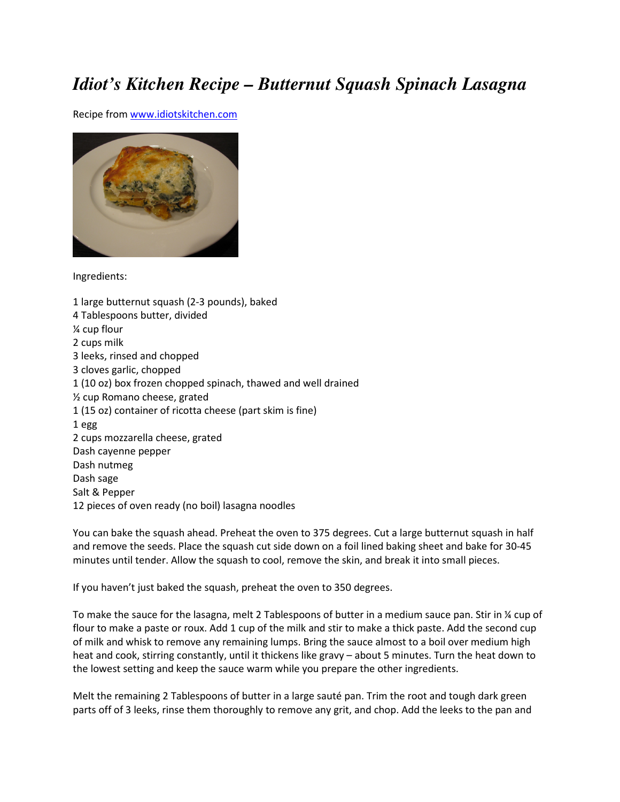## *Idiot's Kitchen Recipe – Butternut Squash Spinach Lasagna*

Recipe from www.idiotskitchen.com



Ingredients:

1 large butternut squash (2-3 pounds), baked 4 Tablespoons butter, divided ¼ cup flour 2 cups milk 3 leeks, rinsed and chopped 3 cloves garlic, chopped 1 (10 oz) box frozen chopped spinach, thawed and well drained ½ cup Romano cheese, grated 1 (15 oz) container of ricotta cheese (part skim is fine) 1 egg 2 cups mozzarella cheese, grated Dash cayenne pepper Dash nutmeg Dash sage Salt & Pepper 12 pieces of oven ready (no boil) lasagna noodles

You can bake the squash ahead. Preheat the oven to 375 degrees. Cut a large butternut squash in half and remove the seeds. Place the squash cut side down on a foil lined baking sheet and bake for 30-45 minutes until tender. Allow the squash to cool, remove the skin, and break it into small pieces.

If you haven't just baked the squash, preheat the oven to 350 degrees.

To make the sauce for the lasagna, melt 2 Tablespoons of butter in a medium sauce pan. Stir in ¼ cup of flour to make a paste or roux. Add 1 cup of the milk and stir to make a thick paste. Add the second cup of milk and whisk to remove any remaining lumps. Bring the sauce almost to a boil over medium high heat and cook, stirring constantly, until it thickens like gravy – about 5 minutes. Turn the heat down to the lowest setting and keep the sauce warm while you prepare the other ingredients.

Melt the remaining 2 Tablespoons of butter in a large sauté pan. Trim the root and tough dark green parts off of 3 leeks, rinse them thoroughly to remove any grit, and chop. Add the leeks to the pan and